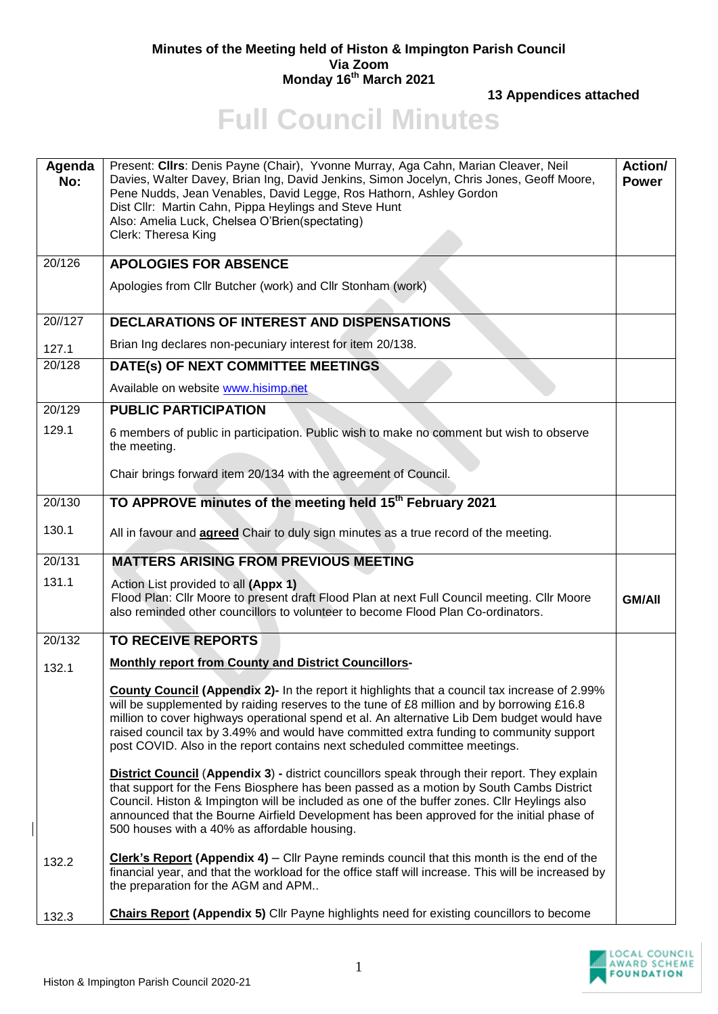## **Minutes of the Meeting held of Histon & Impington Parish Council Via Zoom Monday 16 th March 2021**

**13 Appendices attached**

## **Full Council Minutes**

| Agenda<br>No: | Present: Cllrs: Denis Payne (Chair), Yvonne Murray, Aga Cahn, Marian Cleaver, Neil<br>Davies, Walter Davey, Brian Ing, David Jenkins, Simon Jocelyn, Chris Jones, Geoff Moore,<br>Pene Nudds, Jean Venables, David Legge, Ros Hathorn, Ashley Gordon<br>Dist Cllr: Martin Cahn, Pippa Heylings and Steve Hunt<br>Also: Amelia Luck, Chelsea O'Brien(spectating)<br>Clerk: Theresa King                                                                                    | <b>Action/</b><br><b>Power</b> |
|---------------|---------------------------------------------------------------------------------------------------------------------------------------------------------------------------------------------------------------------------------------------------------------------------------------------------------------------------------------------------------------------------------------------------------------------------------------------------------------------------|--------------------------------|
| 20/126        | <b>APOLOGIES FOR ABSENCE</b>                                                                                                                                                                                                                                                                                                                                                                                                                                              |                                |
|               | Apologies from Cllr Butcher (work) and Cllr Stonham (work)                                                                                                                                                                                                                                                                                                                                                                                                                |                                |
| 20//127       | <b>DECLARATIONS OF INTEREST AND DISPENSATIONS</b>                                                                                                                                                                                                                                                                                                                                                                                                                         |                                |
| 127.1         | Brian Ing declares non-pecuniary interest for item 20/138.                                                                                                                                                                                                                                                                                                                                                                                                                |                                |
| 20/128        | DATE(s) OF NEXT COMMITTEE MEETINGS                                                                                                                                                                                                                                                                                                                                                                                                                                        |                                |
|               | Available on website www.hisimp.net                                                                                                                                                                                                                                                                                                                                                                                                                                       |                                |
| 20/129        | <b>PUBLIC PARTICIPATION</b>                                                                                                                                                                                                                                                                                                                                                                                                                                               |                                |
| 129.1         | 6 members of public in participation. Public wish to make no comment but wish to observe<br>the meeting.                                                                                                                                                                                                                                                                                                                                                                  |                                |
|               | Chair brings forward item 20/134 with the agreement of Council.                                                                                                                                                                                                                                                                                                                                                                                                           |                                |
| 20/130        | TO APPROVE minutes of the meeting held 15 <sup>th</sup> February 2021                                                                                                                                                                                                                                                                                                                                                                                                     |                                |
| 130.1         | All in favour and <b>agreed</b> Chair to duly sign minutes as a true record of the meeting.                                                                                                                                                                                                                                                                                                                                                                               |                                |
| 20/131        | <b>MATTERS ARISING FROM PREVIOUS MEETING</b>                                                                                                                                                                                                                                                                                                                                                                                                                              |                                |
| 131.1         | Action List provided to all (Appx 1)<br>Flood Plan: Cllr Moore to present draft Flood Plan at next Full Council meeting. Cllr Moore<br>also reminded other councillors to volunteer to become Flood Plan Co-ordinators.                                                                                                                                                                                                                                                   | <b>GM/AII</b>                  |
| 20/132        | <b>TO RECEIVE REPORTS</b>                                                                                                                                                                                                                                                                                                                                                                                                                                                 |                                |
| 132.1         | <b>Monthly report from County and District Councillors-</b>                                                                                                                                                                                                                                                                                                                                                                                                               |                                |
|               | <b>County Council (Appendix 2)-</b> In the report it highlights that a council tax increase of 2.99%<br>will be supplemented by raiding reserves to the tune of £8 million and by borrowing £16.8<br>million to cover highways operational spend et al. An alternative Lib Dem budget would have<br>raised council tax by 3.49% and would have committed extra funding to community support<br>post COVID. Also in the report contains next scheduled committee meetings. |                                |
|               | <b>District Council (Appendix 3) - district councillors speak through their report. They explain</b><br>that support for the Fens Biosphere has been passed as a motion by South Cambs District<br>Council. Histon & Impington will be included as one of the buffer zones. Cllr Heylings also<br>announced that the Bourne Airfield Development has been approved for the initial phase of<br>500 houses with a 40% as affordable housing.                               |                                |
| 132.2         | <b>Clerk's Report (Appendix 4)</b> – Cllr Payne reminds council that this month is the end of the<br>financial year, and that the workload for the office staff will increase. This will be increased by<br>the preparation for the AGM and APM                                                                                                                                                                                                                           |                                |
| 132.3         | <b>Chairs Report (Appendix 5)</b> Cllr Payne highlights need for existing councillors to become                                                                                                                                                                                                                                                                                                                                                                           |                                |

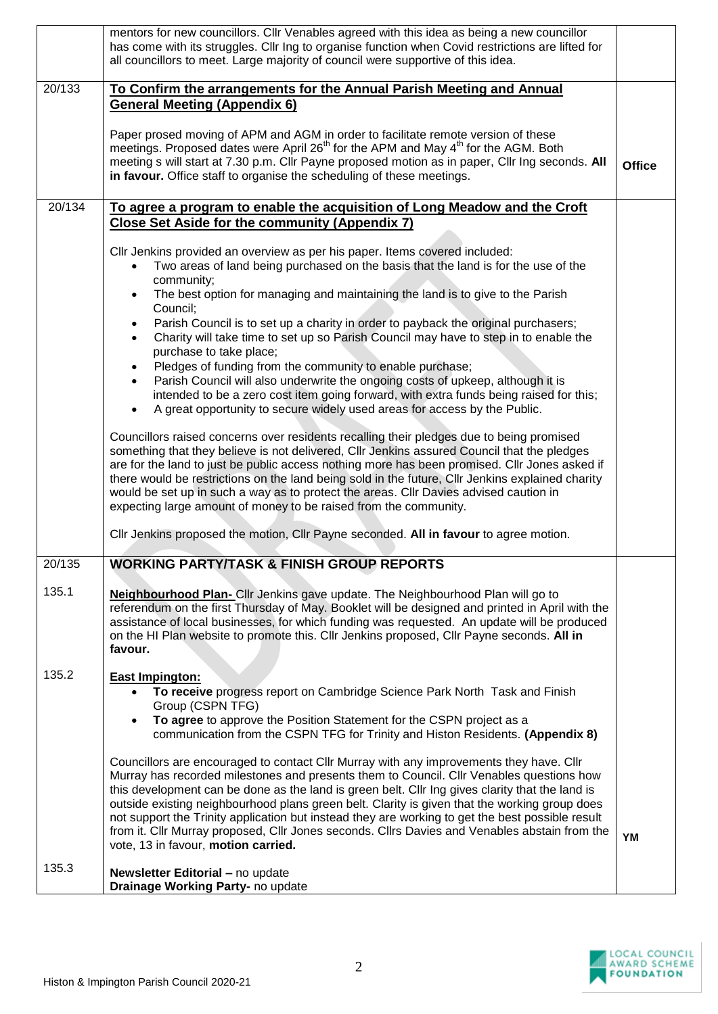|                 | mentors for new councillors. Cllr Venables agreed with this idea as being a new councillor<br>has come with its struggles. Cllr Ing to organise function when Covid restrictions are lifted for<br>all councillors to meet. Large majority of council were supportive of this idea.                                                                                                                                                                                                                                                                                                                                                                                                                                                                                                                                                                                                                                       |               |
|-----------------|---------------------------------------------------------------------------------------------------------------------------------------------------------------------------------------------------------------------------------------------------------------------------------------------------------------------------------------------------------------------------------------------------------------------------------------------------------------------------------------------------------------------------------------------------------------------------------------------------------------------------------------------------------------------------------------------------------------------------------------------------------------------------------------------------------------------------------------------------------------------------------------------------------------------------|---------------|
| 20/133          | To Confirm the arrangements for the Annual Parish Meeting and Annual<br><b>General Meeting (Appendix 6)</b><br>Paper prosed moving of APM and AGM in order to facilitate remote version of these<br>meetings. Proposed dates were April 26 <sup>th</sup> for the APM and May 4 <sup>th</sup> for the AGM. Both                                                                                                                                                                                                                                                                                                                                                                                                                                                                                                                                                                                                            |               |
|                 | meeting s will start at 7.30 p.m. Cllr Payne proposed motion as in paper, Cllr Ing seconds. All<br>in favour. Office staff to organise the scheduling of these meetings.                                                                                                                                                                                                                                                                                                                                                                                                                                                                                                                                                                                                                                                                                                                                                  | <b>Office</b> |
| 20/134          | To agree a program to enable the acquisition of Long Meadow and the Croft<br><b>Close Set Aside for the community (Appendix 7)</b>                                                                                                                                                                                                                                                                                                                                                                                                                                                                                                                                                                                                                                                                                                                                                                                        |               |
|                 | Cllr Jenkins provided an overview as per his paper. Items covered included:<br>Two areas of land being purchased on the basis that the land is for the use of the<br>community;<br>The best option for managing and maintaining the land is to give to the Parish<br>Council;<br>Parish Council is to set up a charity in order to payback the original purchasers;<br>Charity will take time to set up so Parish Council may have to step in to enable the<br>purchase to take place;<br>Pledges of funding from the community to enable purchase;<br>Parish Council will also underwrite the ongoing costs of upkeep, although it is<br>intended to be a zero cost item going forward, with extra funds being raised for this;<br>A great opportunity to secure widely used areas for access by the Public.                                                                                                             |               |
|                 | Councillors raised concerns over residents recalling their pledges due to being promised<br>something that they believe is not delivered, CIIr Jenkins assured Council that the pledges<br>are for the land to just be public access nothing more has been promised. Cllr Jones asked if<br>there would be restrictions on the land being sold in the future, Cllr Jenkins explained charity<br>would be set up in such a way as to protect the areas. Cllr Davies advised caution in<br>expecting large amount of money to be raised from the community.                                                                                                                                                                                                                                                                                                                                                                 |               |
|                 | Cllr Jenkins proposed the motion, Cllr Payne seconded. All in favour to agree motion.<br><b>WORKING PARTY/TASK &amp; FINISH GROUP REPORTS</b>                                                                                                                                                                                                                                                                                                                                                                                                                                                                                                                                                                                                                                                                                                                                                                             |               |
| 20/135<br>135.1 | Neighbourhood Plan- Cllr Jenkins gave update. The Neighbourhood Plan will go to<br>referendum on the first Thursday of May. Booklet will be designed and printed in April with the<br>assistance of local businesses, for which funding was requested. An update will be produced<br>on the HI Plan website to promote this. Cllr Jenkins proposed, Cllr Payne seconds. All in<br>favour.                                                                                                                                                                                                                                                                                                                                                                                                                                                                                                                                 |               |
| 135.2           | <b>East Impington:</b><br>To receive progress report on Cambridge Science Park North Task and Finish<br>Group (CSPN TFG)<br>To agree to approve the Position Statement for the CSPN project as a<br>communication from the CSPN TFG for Trinity and Histon Residents. (Appendix 8)<br>Councillors are encouraged to contact Cllr Murray with any improvements they have. Cllr<br>Murray has recorded milestones and presents them to Council. Cllr Venables questions how<br>this development can be done as the land is green belt. Cllr Ing gives clarity that the land is<br>outside existing neighbourhood plans green belt. Clarity is given that the working group does<br>not support the Trinity application but instead they are working to get the best possible result<br>from it. Cllr Murray proposed, Cllr Jones seconds. Cllrs Davies and Venables abstain from the<br>vote, 13 in favour, motion carried. | YM            |
| 135.3           | Newsletter Editorial - no update<br>Drainage Working Party- no update                                                                                                                                                                                                                                                                                                                                                                                                                                                                                                                                                                                                                                                                                                                                                                                                                                                     |               |

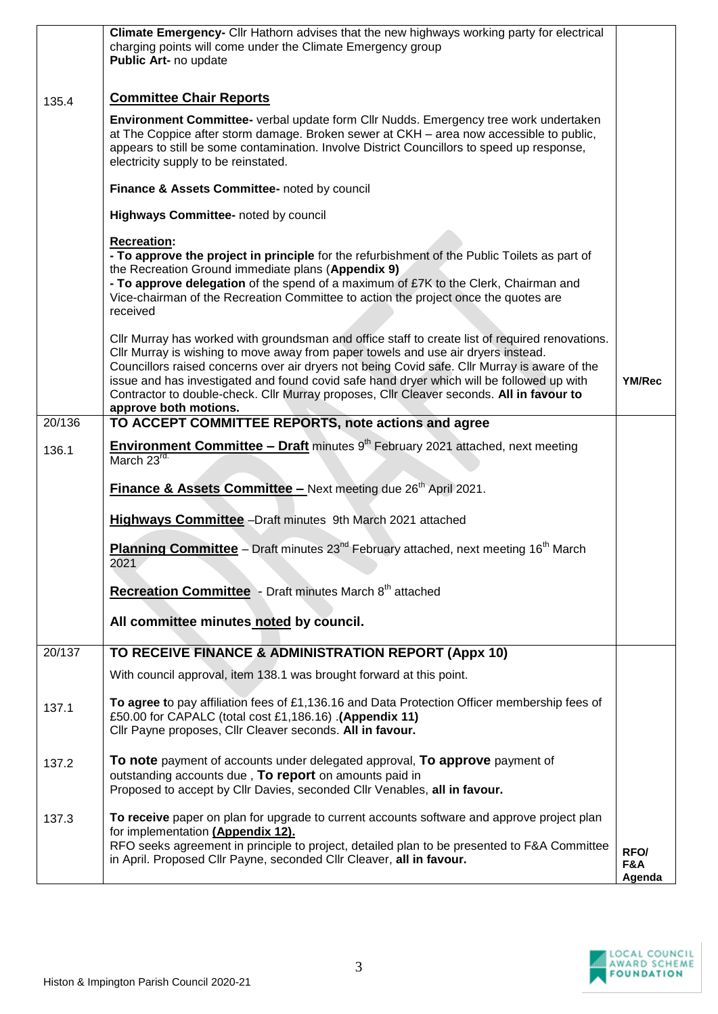|        | Climate Emergency- Cllr Hathorn advises that the new highways working party for electrical<br>charging points will come under the Climate Emergency group<br>Public Art- no update                                                                                                                                                                                                                                                                                                                      |                       |
|--------|---------------------------------------------------------------------------------------------------------------------------------------------------------------------------------------------------------------------------------------------------------------------------------------------------------------------------------------------------------------------------------------------------------------------------------------------------------------------------------------------------------|-----------------------|
| 135.4  | <b>Committee Chair Reports</b>                                                                                                                                                                                                                                                                                                                                                                                                                                                                          |                       |
|        | Environment Committee- verbal update form Cllr Nudds. Emergency tree work undertaken<br>at The Coppice after storm damage. Broken sewer at CKH - area now accessible to public,<br>appears to still be some contamination. Involve District Councillors to speed up response,<br>electricity supply to be reinstated.                                                                                                                                                                                   |                       |
|        | Finance & Assets Committee- noted by council                                                                                                                                                                                                                                                                                                                                                                                                                                                            |                       |
|        | Highways Committee- noted by council                                                                                                                                                                                                                                                                                                                                                                                                                                                                    |                       |
|        | <b>Recreation:</b><br>- To approve the project in principle for the refurbishment of the Public Toilets as part of<br>the Recreation Ground immediate plans (Appendix 9)<br>- To approve delegation of the spend of a maximum of £7K to the Clerk, Chairman and<br>Vice-chairman of the Recreation Committee to action the project once the quotes are<br>received                                                                                                                                      |                       |
|        | Cllr Murray has worked with groundsman and office staff to create list of required renovations.<br>Cllr Murray is wishing to move away from paper towels and use air dryers instead.<br>Councillors raised concerns over air dryers not being Covid safe. Cllr Murray is aware of the<br>issue and has investigated and found covid safe hand dryer which will be followed up with<br>Contractor to double-check. Cllr Murray proposes, Cllr Cleaver seconds. All in favour to<br>approve both motions. | <b>YM/Rec</b>         |
| 20/136 | TO ACCEPT COMMITTEE REPORTS, note actions and agree                                                                                                                                                                                                                                                                                                                                                                                                                                                     |                       |
| 136.1  | <b>Environment Committee - Draft</b> minutes 9 <sup>th</sup> February 2021 attached, next meeting<br>March 23rd.                                                                                                                                                                                                                                                                                                                                                                                        |                       |
|        | Finance & Assets Committee - Next meeting due 26 <sup>th</sup> April 2021.                                                                                                                                                                                                                                                                                                                                                                                                                              |                       |
|        | Highways Committee - Draft minutes 9th March 2021 attached                                                                                                                                                                                                                                                                                                                                                                                                                                              |                       |
|        | Planning Committee - Draft minutes 23 <sup>nd</sup> February attached, next meeting 16 <sup>th</sup> March<br>2021                                                                                                                                                                                                                                                                                                                                                                                      |                       |
|        | <b>Recreation Committee</b> - Draft minutes March 8 <sup>th</sup> attached                                                                                                                                                                                                                                                                                                                                                                                                                              |                       |
|        | All committee minutes noted by council.                                                                                                                                                                                                                                                                                                                                                                                                                                                                 |                       |
| 20/137 | TO RECEIVE FINANCE & ADMINISTRATION REPORT (Appx 10)                                                                                                                                                                                                                                                                                                                                                                                                                                                    |                       |
|        | With council approval, item 138.1 was brought forward at this point.                                                                                                                                                                                                                                                                                                                                                                                                                                    |                       |
| 137.1  | To agree to pay affiliation fees of £1,136.16 and Data Protection Officer membership fees of<br>£50.00 for CAPALC (total cost £1,186.16) .(Appendix 11)<br>Cllr Payne proposes, Cllr Cleaver seconds. All in favour.                                                                                                                                                                                                                                                                                    |                       |
| 137.2  | To note payment of accounts under delegated approval, To approve payment of<br>outstanding accounts due, To report on amounts paid in<br>Proposed to accept by Cllr Davies, seconded Cllr Venables, all in favour.                                                                                                                                                                                                                                                                                      |                       |
| 137.3  | To receive paper on plan for upgrade to current accounts software and approve project plan<br>for implementation (Appendix 12).<br>RFO seeks agreement in principle to project, detailed plan to be presented to F&A Committee<br>in April. Proposed Cllr Payne, seconded Cllr Cleaver, all in favour.                                                                                                                                                                                                  | RFO/<br>F&A<br>Agenda |